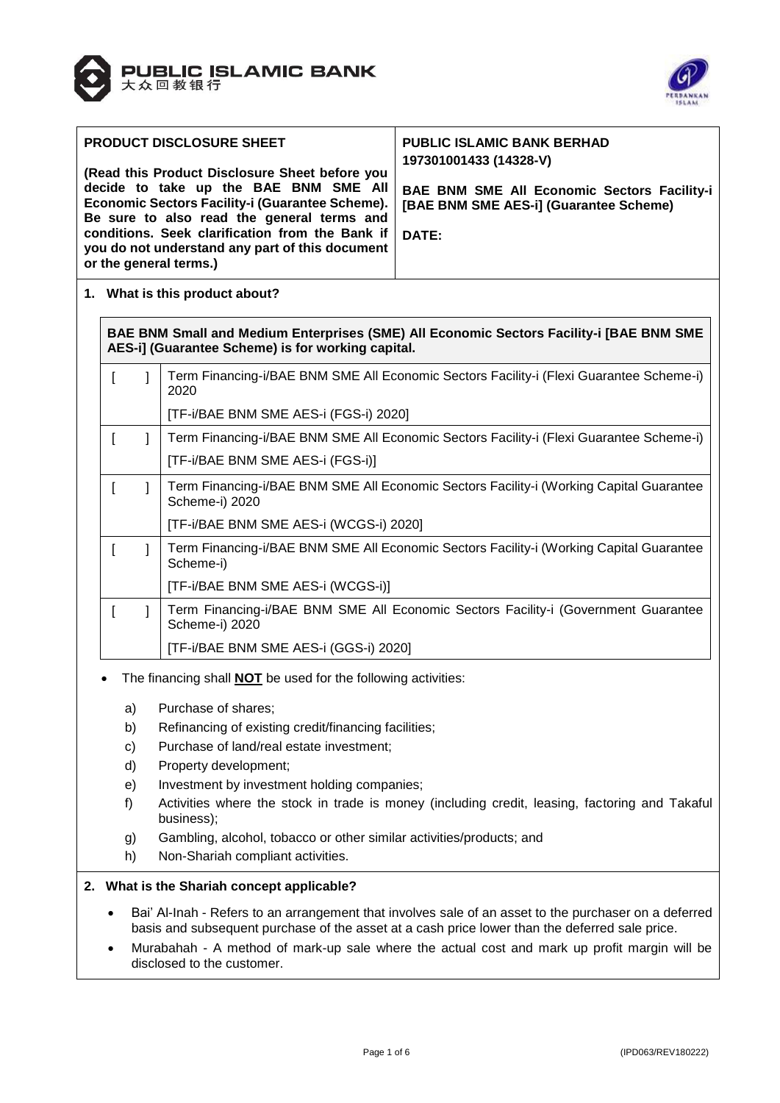



| <b>PRODUCT DISCLOSURE SHEET</b><br>(Read this Product Disclosure Sheet before you<br>decide to take up the BAE BNM SME All<br>Economic Sectors Facility-i (Guarantee Scheme).<br>Be sure to also read the general terms and<br>conditions. Seek clarification from the Bank if | <b>PUBLIC ISLAMIC BANK BERHAD</b><br>197301001433 (14328-V)<br>BAE BNM SME All Economic Sectors Facility-i<br>[BAE BNM SME AES-i] (Guarantee Scheme)<br><b>DATE:</b> |
|--------------------------------------------------------------------------------------------------------------------------------------------------------------------------------------------------------------------------------------------------------------------------------|----------------------------------------------------------------------------------------------------------------------------------------------------------------------|
| you do not understand any part of this document<br>or the general terms.)                                                                                                                                                                                                      |                                                                                                                                                                      |

**1. What is this product about?**

**BAE BNM Small and Medium Enterprises (SME) All Economic Sectors Facility-i [BAE BNM SME AES-i] (Guarantee Scheme) is for working capital.**

|  | Term Financing-i/BAE BNM SME All Economic Sectors Facility-i (Flexi Guarantee Scheme-i)<br>2020           |
|--|-----------------------------------------------------------------------------------------------------------|
|  | [TF-i/BAE BNM SME AES-i (FGS-i) 2020]                                                                     |
|  | Term Financing-i/BAE BNM SME All Economic Sectors Facility-i (Flexi Guarantee Scheme-i)                   |
|  | [TF-i/BAE BNM SME AES-i (FGS-i)]                                                                          |
|  | Term Financing-i/BAE BNM SME All Economic Sectors Facility-i (Working Capital Guarantee<br>Scheme-i) 2020 |
|  | [TF-i/BAE BNM SME AES-i (WCGS-i) 2020]                                                                    |
|  | Term Financing-i/BAE BNM SME All Economic Sectors Facility-i (Working Capital Guarantee<br>Scheme-i)      |
|  | [TF-i/BAE BNM SME AES-i (WCGS-i)]                                                                         |
|  | Term Financing-i/BAE BNM SME All Economic Sectors Facility-i (Government Guarantee<br>Scheme-i) 2020      |
|  | [TF-i/BAE BNM SME AES-i (GGS-i) 2020]                                                                     |

- The financing shall **NOT** be used for the following activities:
	- a) Purchase of shares;
	- b) Refinancing of existing credit/financing facilities;
	- c) Purchase of land/real estate investment;
	- d) Property development;
	- e) Investment by investment holding companies;
	- f) Activities where the stock in trade is money (including credit, leasing, factoring and Takaful business);
	- g) Gambling, alcohol, tobacco or other similar activities/products; and
	- h) Non-Shariah compliant activities.

### **2. What is the Shariah concept applicable?**

- Bai' Al-Inah Refers to an arrangement that involves sale of an asset to the purchaser on a deferred basis and subsequent purchase of the asset at a cash price lower than the deferred sale price.
- Murabahah A method of mark-up sale where the actual cost and mark up profit margin will be disclosed to the customer.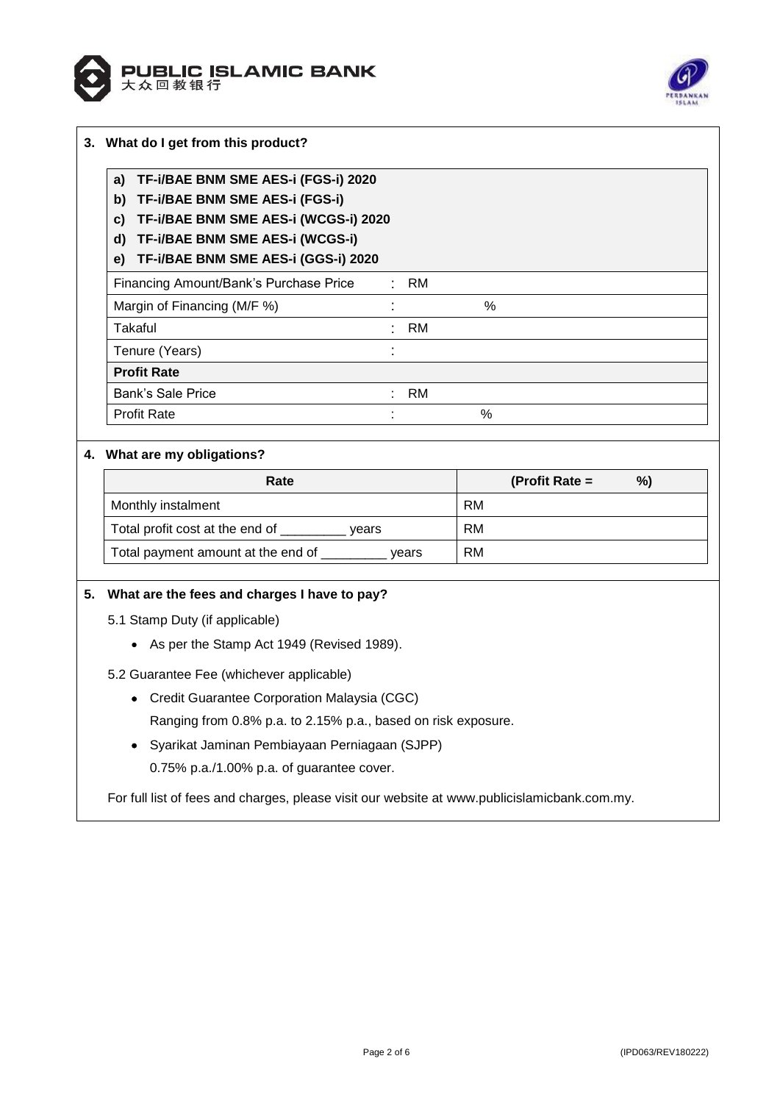



| TF-i/BAE BNM SME AES-i (FGS-i) 2020<br>a)  |           |      |  |
|--------------------------------------------|-----------|------|--|
| TF-i/BAE BNM SME AES-i (FGS-i)<br>b)       |           |      |  |
| TF-i/BAE BNM SME AES-i (WCGS-i) 2020<br>C) |           |      |  |
| TF-i/BAE BNM SME AES-i (WCGS-i)<br>d)      |           |      |  |
|                                            |           |      |  |
| TF-i/BAE BNM SME AES-i (GGS-i) 2020<br>e)  |           |      |  |
| Financing Amount/Bank's Purchase Price     | RM        |      |  |
| Margin of Financing (M/F %)                |           | $\%$ |  |
| Takaful                                    | <b>RM</b> |      |  |
| Tenure (Years)                             |           |      |  |
| <b>Profit Rate</b>                         |           |      |  |
| Bank's Sale Price                          | RM        |      |  |
| <b>Profit Rate</b>                         |           | %    |  |

# **4. What are my obligations?**

| Rate                                        | %)<br>(Profit Rate $=$ |
|---------------------------------------------|------------------------|
| Monthly instalment                          | RM                     |
| Total profit cost at the end of<br>vears    | RM                     |
| Total payment amount at the end of<br>vears | RM.                    |

# **5. What are the fees and charges I have to pay?**

- 5.1 Stamp Duty (if applicable)
	- As per the Stamp Act 1949 (Revised 1989).
- 5.2 Guarantee Fee (whichever applicable)
	- Credit Guarantee Corporation Malaysia (CGC) Ranging from 0.8% p.a. to 2.15% p.a., based on risk exposure.
	- Syarikat Jaminan Pembiayaan Perniagaan (SJPP) 0.75% p.a./1.00% p.a. of guarantee cover.

For full list of fees and charges, please visit our website at [www.publicislamicbank.com.my.](http://www.publicislamicbank.com.my/)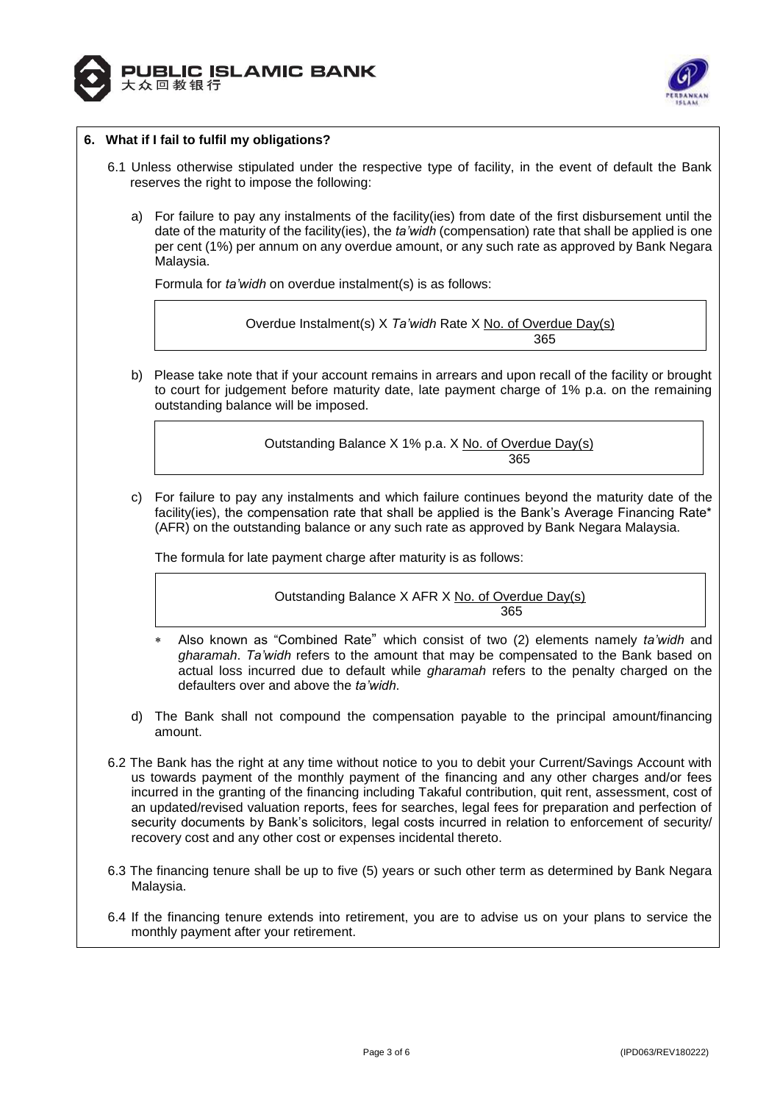



### **6. What if I fail to fulfil my obligations?**

- 6.1 Unless otherwise stipulated under the respective type of facility, in the event of default the Bank reserves the right to impose the following:
	- a) For failure to pay any instalments of the facility(ies) from date of the first disbursement until the date of the maturity of the facility(ies), the *ta'widh* (compensation) rate that shall be applied is one per cent (1%) per annum on any overdue amount, or any such rate as approved by Bank Negara Malaysia.

Formula for *ta'widh* on overdue instalment(s) is as follows:

Overdue Instalment(s) X *Ta'widh* Rate X No. of Overdue Day(s) 365

b) Please take note that if your account remains in arrears and upon recall of the facility or brought to court for judgement before maturity date, late payment charge of 1% p.a. on the remaining outstanding balance will be imposed.

> Outstanding Balance X 1% p.a. X No. of Overdue Day(s) 365

c) For failure to pay any instalments and which failure continues beyond the maturity date of the facility(ies), the compensation rate that shall be applied is the Bank's Average Financing Rate\* (AFR) on the outstanding balance or any such rate as approved by Bank Negara Malaysia.

The formula for late payment charge after maturity is as follows:

Outstanding Balance X AFR X No. of Overdue Day(s) <u>365 - John Stein, Amerikaansk politiker (</u>

- Also known as "Combined Rate" which consist of two (2) elements namely *ta'widh* and *gharamah*. *Ta'widh* refers to the amount that may be compensated to the Bank based on actual loss incurred due to default while *gharamah* refers to the penalty charged on the defaulters over and above the *ta'widh*.
- d) The Bank shall not compound the compensation payable to the principal amount/financing amount.
- 6.2 The Bank has the right at any time without notice to you to debit your Current/Savings Account with us towards payment of the monthly payment of the financing and any other charges and/or fees incurred in the granting of the financing including Takaful contribution, quit rent, assessment, cost of an updated/revised valuation reports, fees for searches, legal fees for preparation and perfection of security documents by Bank's solicitors, legal costs incurred in relation to enforcement of security/ recovery cost and any other cost or expenses incidental thereto.
- 6.3 The financing tenure shall be up to five (5) years or such other term as determined by Bank Negara Malaysia.
- 6.4 If the financing tenure extends into retirement, you are to advise us on your plans to service the monthly payment after your retirement.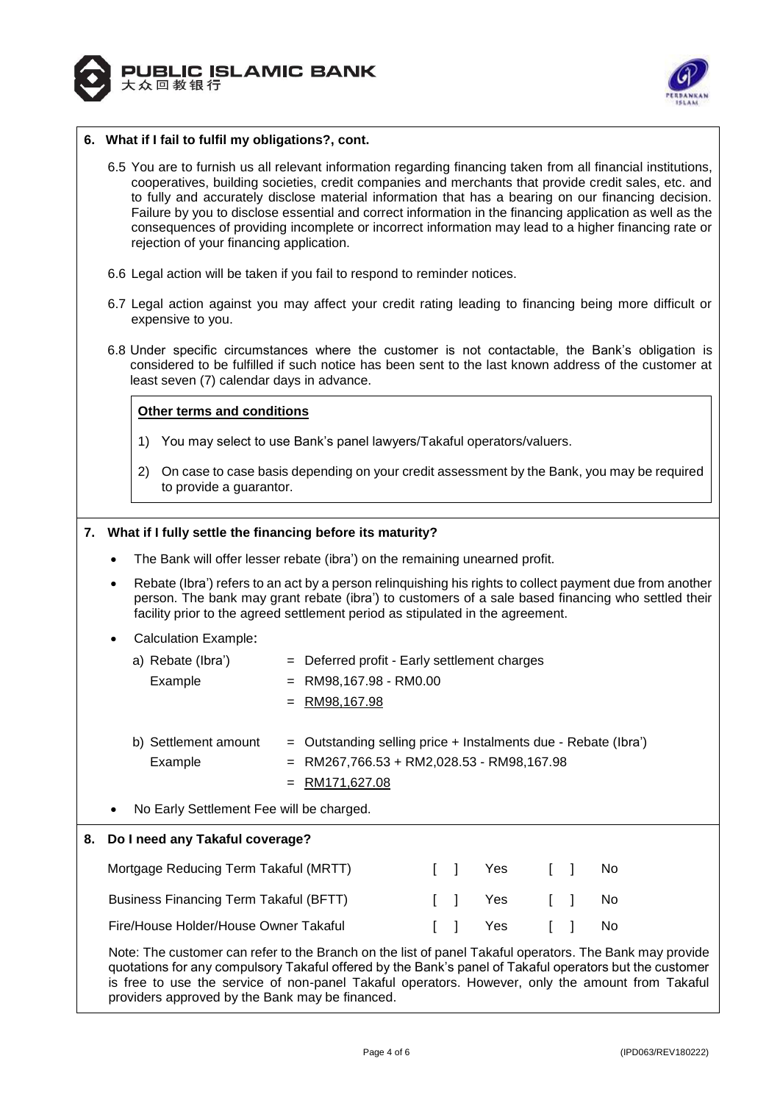



### **6. What if I fail to fulfil my obligations?, cont.**

- 6.5 You are to furnish us all relevant information regarding financing taken from all financial institutions, cooperatives, building societies, credit companies and merchants that provide credit sales, etc. and to fully and accurately disclose material information that has a bearing on our financing decision. Failure by you to disclose essential and correct information in the financing application as well as the consequences of providing incomplete or incorrect information may lead to a higher financing rate or rejection of your financing application.
- 6.6 Legal action will be taken if you fail to respond to reminder notices.
- 6.7 Legal action against you may affect your credit rating leading to financing being more difficult or expensive to you.
- 6.8 Under specific circumstances where the customer is not contactable, the Bank's obligation is considered to be fulfilled if such notice has been sent to the last known address of the customer at least seven (7) calendar days in advance.

### **Other terms and conditions**

- 1) You may select to use Bank's panel lawyers/Takaful operators/valuers.
- 2) On case to case basis depending on your credit assessment by the Bank, you may be required to provide a guarantor.

### **7. What if I fully settle the financing before its maturity?**

- The Bank will offer lesser rebate (ibra') on the remaining unearned profit.
- Rebate (Ibra') refers to an act by a person relinquishing his rights to collect payment due from another person. The bank may grant rebate (ibra') to customers of a sale based financing who settled their facility prior to the agreed settlement period as stipulated in the agreement.
- Calculation Example:

| a) Rebate (Ibra') | = Deferred profit - Early settlement charges |
|-------------------|----------------------------------------------|
| Example           | $=$ RM98,167.98 - RM0.00                     |
|                   | = RM98,167.98                                |
|                   |                                              |

- b) Settlement amount  $=$  Outstanding selling price  $+$  Instalments due Rebate (Ibra') Example  $= RM267,766.53 + RM2,028.53 - RM98,167.98$ = RM171,627.08
- No Early Settlement Fee will be charged.

# **8. Do I need any Takaful coverage?**

| Mortgage Reducing Term Takaful (MRTT)  |  | [ ] Yes [ ] No |  |  |
|----------------------------------------|--|----------------|--|--|
| Business Financing Term Takaful (BFTT) |  | [ ] Yes [ ] No |  |  |
| Fire/House Holder/House Owner Takaful  |  |                |  |  |

Note: The customer can refer to the Branch on the list of panel Takaful operators. The Bank may provide quotations for any compulsory Takaful offered by the Bank's panel of Takaful operators but the customer is free to use the service of non-panel Takaful operators. However, only the amount from Takaful providers approved by the Bank may be financed.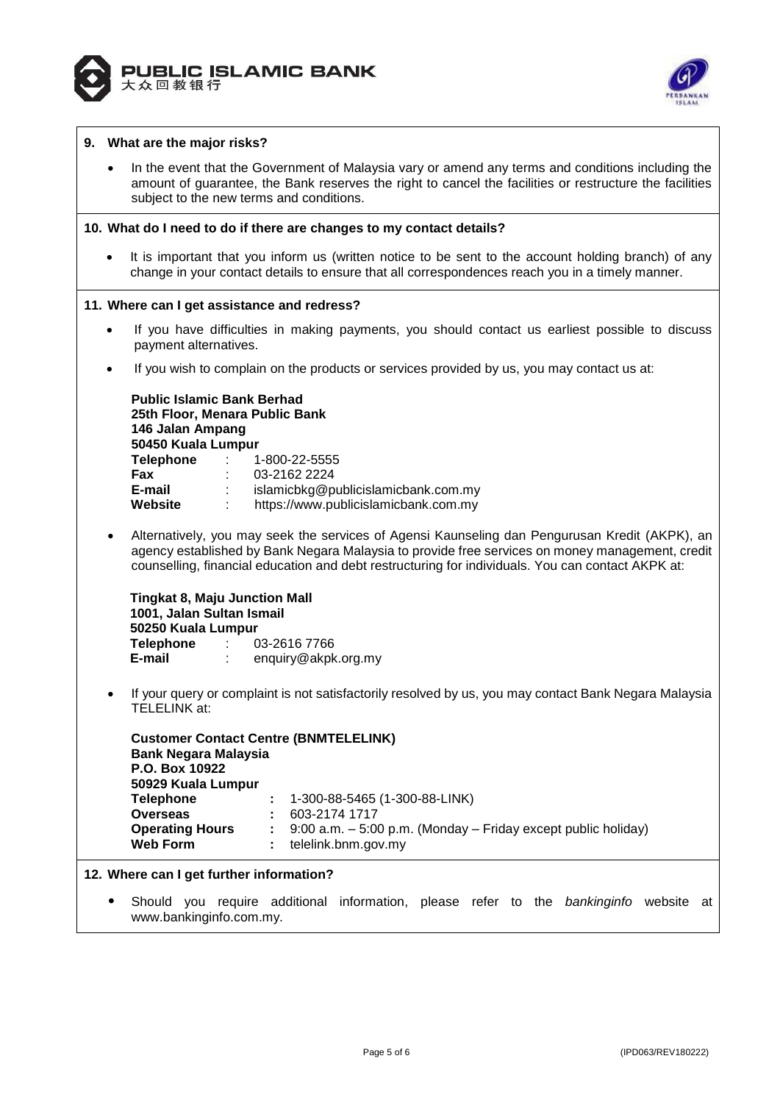



### **9. What are the major risks?**

 In the event that the Government of Malaysia vary or amend any terms and conditions including the amount of guarantee, the Bank reserves the right to cancel the facilities or restructure the facilities subject to the new terms and conditions.

#### **10. What do I need to do if there are changes to my contact details?**

 It is important that you inform us (written notice to be sent to the account holding branch) of any change in your contact details to ensure that all correspondences reach you in a timely manner.

#### **11. Where can I get assistance and redress?**

- If you have difficulties in making payments, you should contact us earliest possible to discuss payment alternatives.
- If you wish to complain on the products or services provided by us, you may contact us at:

| <b>Public Islamic Bank Berhad</b><br>25th Floor, Menara Public Bank<br>146 Jalan Ampang<br>50450 Kuala Lumpur |                                         |                                      |
|---------------------------------------------------------------------------------------------------------------|-----------------------------------------|--------------------------------------|
| <b>Telephone</b>                                                                                              | $\mathcal{L} = \mathcal{L} \mathcal{L}$ | 1-800-22-5555                        |
| <b>Fax</b>                                                                                                    | t.                                      | 03-2162 2224                         |
| E-mail                                                                                                        |                                         | islamicbkg@publicislamicbank.com.my  |
| Website                                                                                                       | ÷                                       | https://www.publicislamicbank.com.my |

 Alternatively, you may seek the services of Agensi Kaunseling dan Pengurusan Kredit (AKPK), an agency established by Bank Negara Malaysia to provide free services on money management, credit counselling, financial education and debt restructuring for individuals. You can contact AKPK at:

**Tingkat 8, Maju Junction Mall 1001, Jalan Sultan Ismail 50250 Kuala Lumpur Telephone** : 03-2616 7766 **E-mail** : enquiry@akpk.org.my

 If your query or complaint is not satisfactorily resolved by us, you may contact Bank Negara Malaysia TELELINK at:

|                             | <b>Customer Contact Centre (BNMTELELINK)</b>                                   |
|-----------------------------|--------------------------------------------------------------------------------|
| <b>Bank Negara Malaysia</b> |                                                                                |
| P.O. Box 10922              |                                                                                |
| 50929 Kuala Lumpur          |                                                                                |
| <b>Telephone</b>            | $: 1-300-88-5465(1-300-88-LINK)$                                               |
| <b>Overseas</b>             | 603-2174 1717<br>÷                                                             |
| <b>Operating Hours</b>      | $\therefore$ 9:00 a.m. $-$ 5:00 p.m. (Monday $-$ Friday except public holiday) |
| <b>Web Form</b>             | telelink.bnm.gov.my<br>÷                                                       |

**12. Where can I get further information?**

 Should you require additional information, please refer to the *bankinginfo* website at www.bankinginfo.com.my.